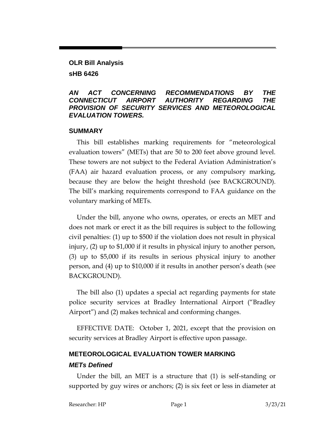# **OLR Bill Analysis sHB 6426**

### *AN ACT CONCERNING RECOMMENDATIONS BY THE CONNECTICUT AIRPORT AUTHORITY REGARDING THE PROVISION OF SECURITY SERVICES AND METEOROLOGICAL EVALUATION TOWERS.*

### **SUMMARY**

This bill establishes marking requirements for "meteorological evaluation towers" (METs) that are 50 to 200 feet above ground level. These towers are not subject to the Federal Aviation Administration's (FAA) air hazard evaluation process, or any compulsory marking, because they are below the height threshold (see BACKGROUND). The bill's marking requirements correspond to FAA guidance on the voluntary marking of METs.

Under the bill, anyone who owns, operates, or erects an MET and does not mark or erect it as the bill requires is subject to the following civil penalties: (1) up to \$500 if the violation does not result in physical injury, (2) up to \$1,000 if it results in physical injury to another person, (3) up to \$5,000 if its results in serious physical injury to another person, and (4) up to \$10,000 if it results in another person's death (see BACKGROUND).

The bill also (1) updates a special act regarding payments for state police security services at Bradley International Airport ("Bradley Airport") and (2) makes technical and conforming changes.

EFFECTIVE DATE: October 1, 2021, except that the provision on security services at Bradley Airport is effective upon passage.

# **METEOROLOGICAL EVALUATION TOWER MARKING**

### *METs Defined*

Under the bill, an MET is a structure that (1) is self-standing or supported by guy wires or anchors; (2) is six feet or less in diameter at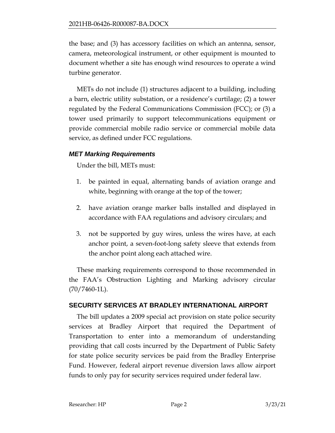the base; and (3) has accessory facilities on which an antenna, sensor, camera, meteorological instrument, or other equipment is mounted to document whether a site has enough wind resources to operate a wind turbine generator.

METs do not include (1) structures adjacent to a building, including a barn, electric utility substation, or a residence's curtilage; (2) a tower regulated by the Federal Communications Commission (FCC); or (3) a tower used primarily to support telecommunications equipment or provide commercial mobile radio service or commercial mobile data service, as defined under FCC regulations.

## *MET Marking Requirements*

Under the bill, METs must:

- 1. be painted in equal, alternating bands of aviation orange and white, beginning with orange at the top of the tower;
- 2. have aviation orange marker balls installed and displayed in accordance with FAA regulations and advisory circulars; and
- 3. not be supported by guy wires, unless the wires have, at each anchor point, a seven-foot-long safety sleeve that extends from the anchor point along each attached wire.

These marking requirements correspond to those recommended in the FAA's Obstruction Lighting and Marking advisory circular  $(70/7460-1L)$ .

# **SECURITY SERVICES AT BRADLEY INTERNATIONAL AIRPORT**

The bill updates a 2009 special act provision on state police security services at Bradley Airport that required the Department of Transportation to enter into a memorandum of understanding providing that call costs incurred by the Department of Public Safety for state police security services be paid from the Bradley Enterprise Fund. However, federal airport revenue diversion laws allow airport funds to only pay for security services required under federal law.